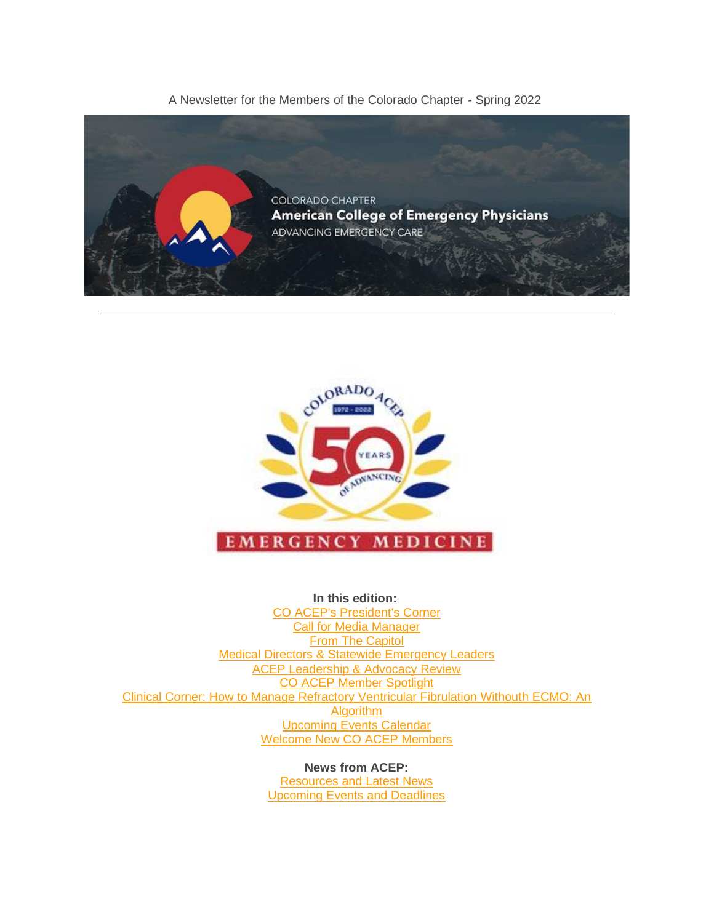A Newsletter for the Members of the Colorado Chapter - Spring 2022





**In this edition:** [CO ACEP's President's Corner](about:blank%23President) [Call for Media Manager](about:blank%23MediaMgr) **[From The Capitol](about:blank%23Capitol)** [Medical Directors & Statewide Emergency Leaders](about:blank%23Mtg) [ACEP Leadership & Advocacy Review](about:blank%23LAC) [CO ACEP Member Spotlight](about:blank%23MemberSpotlight) [Clinical Corner: How to Manage Refractory Ventricular Fibrulation Withouth ECMO: An](about:blank%23Clinical)  **[Algorithm](about:blank%23Clinical)** [Upcoming Events Calendar](about:blank%23Calendar) [Welcome New CO ACEP Members](about:blank%23NewMembers)

> **News from ACEP:** [Resources and Latest News](about:blank%23ACEP) [Upcoming Events and Deadlines](about:blank%23Events)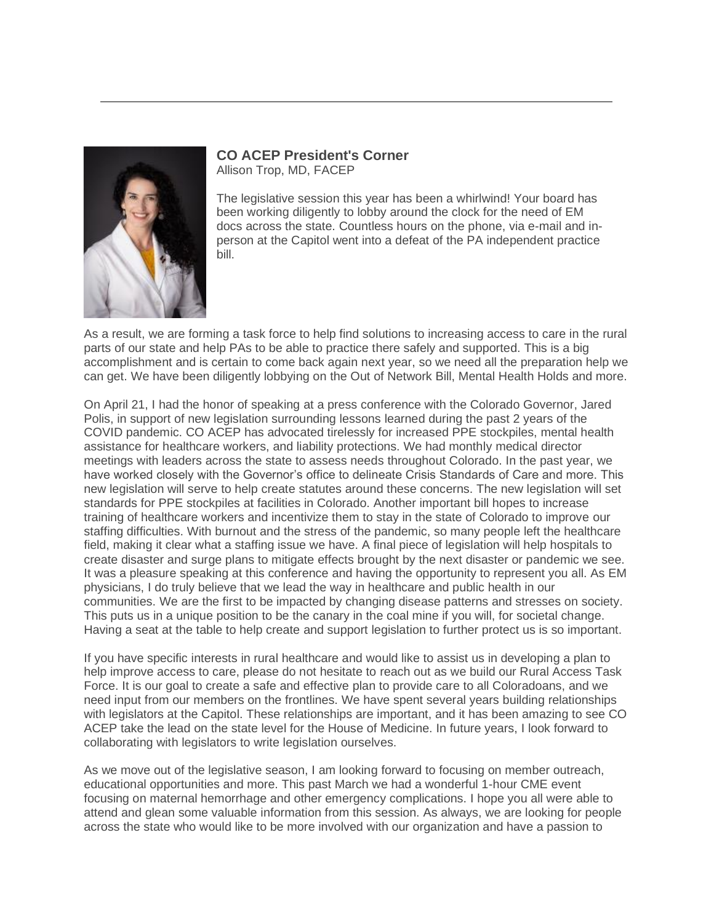

## **CO ACEP President's Corner** Allison Trop, MD, FACEP

The legislative session this year has been a whirlwind! Your board has been working diligently to lobby around the clock for the need of EM docs across the state. Countless hours on the phone, via e-mail and inperson at the Capitol went into a defeat of the PA independent practice bill.

As a result, we are forming a task force to help find solutions to increasing access to care in the rural parts of our state and help PAs to be able to practice there safely and supported. This is a big accomplishment and is certain to come back again next year, so we need all the preparation help we can get. We have been diligently lobbying on the Out of Network Bill, Mental Health Holds and more.

On April 21, I had the honor of speaking at a press conference with the Colorado Governor, Jared Polis, in support of new legislation surrounding lessons learned during the past 2 years of the COVID pandemic. CO ACEP has advocated tirelessly for increased PPE stockpiles, mental health assistance for healthcare workers, and liability protections. We had monthly medical director meetings with leaders across the state to assess needs throughout Colorado. In the past year, we have worked closely with the Governor's office to delineate Crisis Standards of Care and more. This new legislation will serve to help create statutes around these concerns. The new legislation will set standards for PPE stockpiles at facilities in Colorado. Another important bill hopes to increase training of healthcare workers and incentivize them to stay in the state of Colorado to improve our staffing difficulties. With burnout and the stress of the pandemic, so many people left the healthcare field, making it clear what a staffing issue we have. A final piece of legislation will help hospitals to create disaster and surge plans to mitigate effects brought by the next disaster or pandemic we see. It was a pleasure speaking at this conference and having the opportunity to represent you all. As EM physicians, I do truly believe that we lead the way in healthcare and public health in our communities. We are the first to be impacted by changing disease patterns and stresses on society. This puts us in a unique position to be the canary in the coal mine if you will, for societal change. Having a seat at the table to help create and support legislation to further protect us is so important.

If you have specific interests in rural healthcare and would like to assist us in developing a plan to help improve access to care, please do not hesitate to reach out as we build our Rural Access Task Force. It is our goal to create a safe and effective plan to provide care to all Coloradoans, and we need input from our members on the frontlines. We have spent several years building relationships with legislators at the Capitol. These relationships are important, and it has been amazing to see CO ACEP take the lead on the state level for the House of Medicine. In future years, I look forward to collaborating with legislators to write legislation ourselves.

As we move out of the legislative season, I am looking forward to focusing on member outreach, educational opportunities and more. This past March we had a wonderful 1-hour CME event focusing on maternal hemorrhage and other emergency complications. I hope you all were able to attend and glean some valuable information from this session. As always, we are looking for people across the state who would like to be more involved with our organization and have a passion to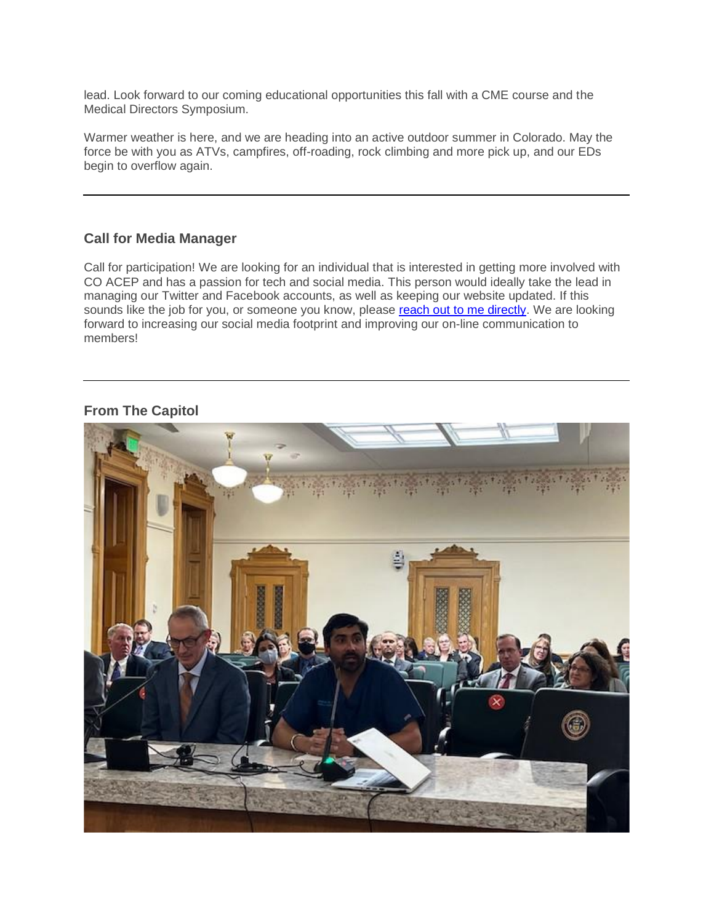lead. Look forward to our coming educational opportunities this fall with a CME course and the Medical Directors Symposium.

Warmer weather is here, and we are heading into an active outdoor summer in Colorado. May the force be with you as ATVs, campfires, off-roading, rock climbing and more pick up, and our EDs begin to overflow again.

## **Call for Media Manager**

Call for participation! We are looking for an individual that is interested in getting more involved with CO ACEP and has a passion for tech and social media. This person would ideally take the lead in managing our Twitter and Facebook accounts, as well as keeping our website updated. If this sounds like the job for you, or someone you know, please [reach out to me directly.](mailto:allisontrop212@gmail.com) We are looking forward to increasing our social media footprint and improving our on-line communication to members!

## **From The Capitol**

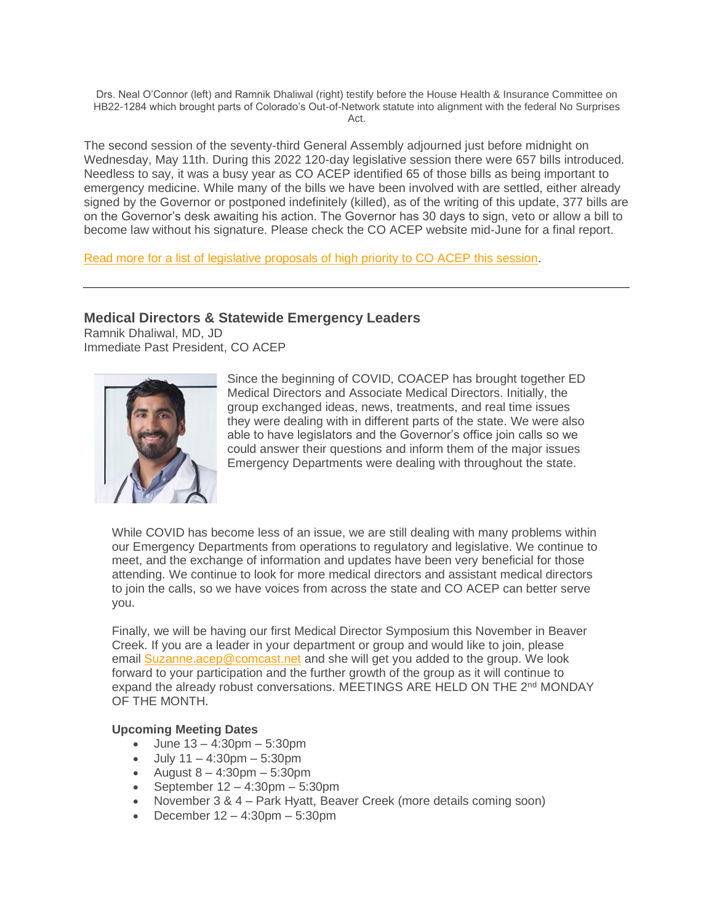Drs. Neal O'Connor (left) and Ramnik Dhaliwal (right) testify before the House Health & Insurance Committee on HB22-1284 which brought parts of Colorado's Out-of-Network statute into alignment with the federal No Surprises Act.

The second session of the seventy-third General Assembly adjourned just before midnight on Wednesday, May 11th. During this 2022 120-day legislative session there were 657 bills introduced. Needless to say, it was a busy year as CO ACEP identified 65 of those bills as being important to emergency medicine. While many of the bills we have been involved with are settled, either already signed by the Governor or postponed indefinitely (killed), as of the writing of this update, 377 bills are on the Governor's desk awaiting his action. The Governor has 30 days to sign, veto or allow a bill to become law without his signature. Please check the CO ACEP website mid-June for a final report.

[Read more for a list of legislative proposals of high priority to CO ACEP this session.](https://coacep.org/from-the-capitol/)

## **Medical Directors & Statewide Emergency Leaders**

Ramnik Dhaliwal, MD, JD Immediate Past President, CO ACEP



Since the beginning of COVID, COACEP has brought together ED Medical Directors and Associate Medical Directors. Initially, the group exchanged ideas, news, treatments, and real time issues they were dealing with in different parts of the state. We were also able to have legislators and the Governor's office join calls so we could answer their questions and inform them of the major issues Emergency Departments were dealing with throughout the state.

While COVID has become less of an issue, we are still dealing with many problems within our Emergency Departments from operations to regulatory and legislative. We continue to meet, and the exchange of information and updates have been very beneficial for those attending. We continue to look for more medical directors and assistant medical directors to join the calls, so we have voices from across the state and CO ACEP can better serve you.

Finally, we will be having our first Medical Director Symposium this November in Beaver Creek. If you are a leader in your department or group and would like to join, please email **[Suzanne.acep@comcast.net](mailto:Suzanne.acep@comcast.net)** and she will get you added to the group. We look forward to your participation and the further growth of the group as it will continue to expand the already robust conversations. MEETINGS ARE HELD ON THE 2<sup>nd</sup> MONDAY OF THE MONTH.

#### **Upcoming Meeting Dates**

- June 13 4:30pm 5:30pm
- July 11 4:30pm 5:30pm
- August  $8 4:30$ pm  $-5:30$ pm
- September 12 4:30pm 5:30pm
- November 3 & 4 Park Hyatt, Beaver Creek (more details coming soon)
- December 12 4:30pm 5:30pm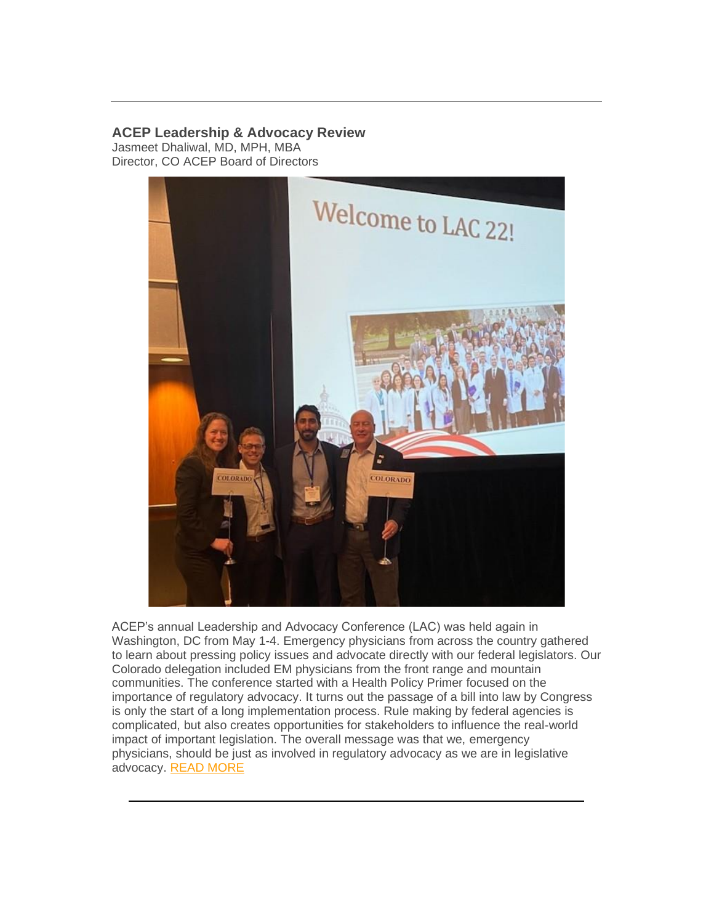## **ACEP Leadership & Advocacy Review**

Jasmeet Dhaliwal, MD, MPH, MBA Director, CO ACEP Board of Directors



ACEP's annual Leadership and Advocacy Conference (LAC) was held again in Washington, DC from May 1-4. Emergency physicians from across the country gathered to learn about pressing policy issues and advocate directly with our federal legislators. Our Colorado delegation included EM physicians from the front range and mountain communities. The conference started with a Health Policy Primer focused on the importance of regulatory advocacy. It turns out the passage of a bill into law by Congress is only the start of a long implementation process. Rule making by federal agencies is complicated, but also creates opportunities for stakeholders to influence the real-world impact of important legislation. The overall message was that we, emergency physicians, should be just as involved in regulatory advocacy as we are in legislative advocacy. [READ MORE](https://coacep.org/acep-leadership-advocacy-review/)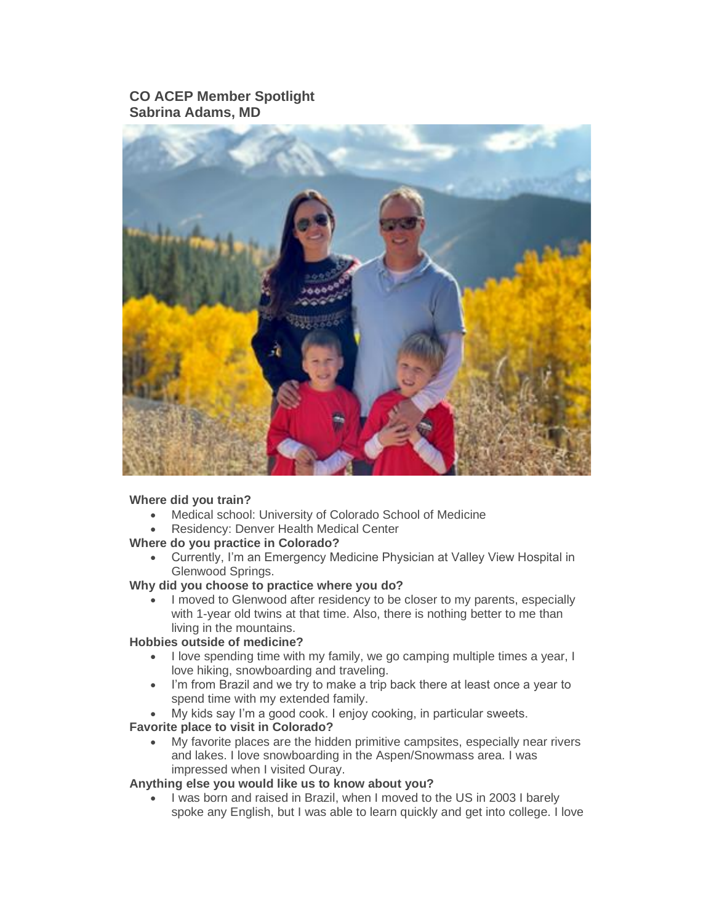## **CO ACEP Member Spotlight Sabrina Adams, MD**



## **Where did you train?**

- Medical school: University of Colorado School of Medicine
- Residency: Denver Health Medical Center

## **Where do you practice in Colorado?**

• Currently, I'm an Emergency Medicine Physician at Valley View Hospital in Glenwood Springs.

## **Why did you choose to practice where you do?**

• I moved to Glenwood after residency to be closer to my parents, especially with 1-year old twins at that time. Also, there is nothing better to me than living in the mountains.

## **Hobbies outside of medicine?**

- I love spending time with my family, we go camping multiple times a year, I love hiking, snowboarding and traveling.
- I'm from Brazil and we try to make a trip back there at least once a year to spend time with my extended family.
- My kids say I'm a good cook. I enjoy cooking, in particular sweets.

## **Favorite place to visit in Colorado?**

• My favorite places are the hidden primitive campsites, especially near rivers and lakes. I love snowboarding in the Aspen/Snowmass area. I was impressed when I visited Ouray.

## **Anything else you would like us to know about you?**

• I was born and raised in Brazil, when I moved to the US in 2003 I barely spoke any English, but I was able to learn quickly and get into college. I love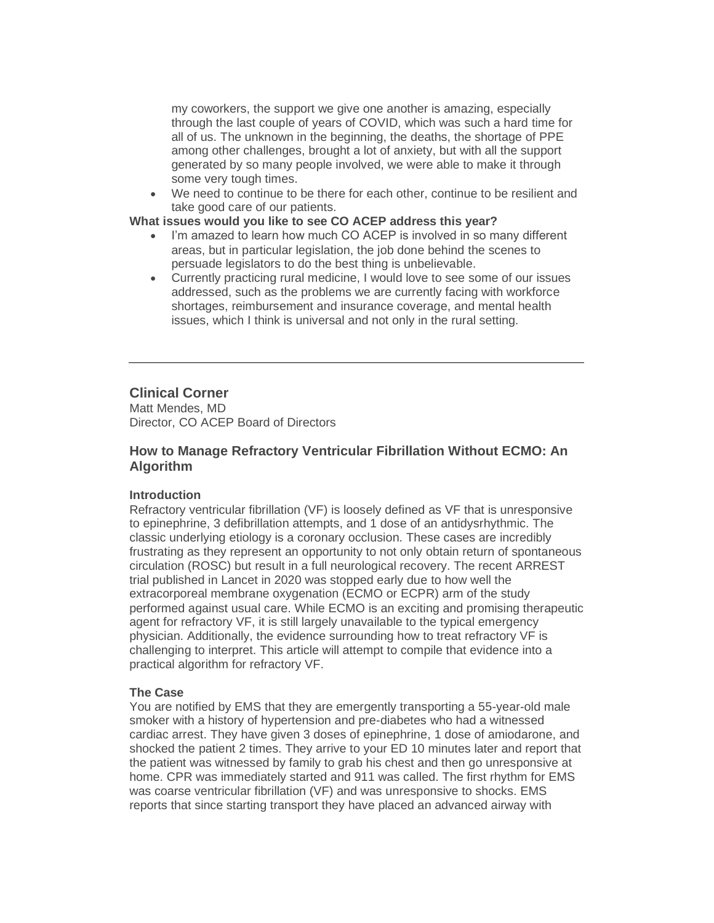my coworkers, the support we give one another is amazing, especially through the last couple of years of COVID, which was such a hard time for all of us. The unknown in the beginning, the deaths, the shortage of PPE among other challenges, brought a lot of anxiety, but with all the support generated by so many people involved, we were able to make it through some very tough times.

• We need to continue to be there for each other, continue to be resilient and take good care of our patients.

#### **What issues would you like to see CO ACEP address this year?**

- I'm amazed to learn how much CO ACEP is involved in so many different areas, but in particular legislation, the job done behind the scenes to persuade legislators to do the best thing is unbelievable.
- Currently practicing rural medicine, I would love to see some of our issues addressed, such as the problems we are currently facing with workforce shortages, reimbursement and insurance coverage, and mental health issues, which I think is universal and not only in the rural setting.

## **Clinical Corner**

Matt Mendes, MD Director, CO ACEP Board of Directors

## **How to Manage Refractory Ventricular Fibrillation Without ECMO: An Algorithm**

#### **Introduction**

Refractory ventricular fibrillation (VF) is loosely defined as VF that is unresponsive to epinephrine, 3 defibrillation attempts, and 1 dose of an antidysrhythmic. The classic underlying etiology is a coronary occlusion. These cases are incredibly frustrating as they represent an opportunity to not only obtain return of spontaneous circulation (ROSC) but result in a full neurological recovery. The recent ARREST trial published in Lancet in 2020 was stopped early due to how well the extracorporeal membrane oxygenation (ECMO or ECPR) arm of the study performed against usual care. While ECMO is an exciting and promising therapeutic agent for refractory VF, it is still largely unavailable to the typical emergency physician. Additionally, the evidence surrounding how to treat refractory VF is challenging to interpret. This article will attempt to compile that evidence into a practical algorithm for refractory VF.

#### **The Case**

You are notified by EMS that they are emergently transporting a 55-year-old male smoker with a history of hypertension and pre-diabetes who had a witnessed cardiac arrest. They have given 3 doses of epinephrine, 1 dose of amiodarone, and shocked the patient 2 times. They arrive to your ED 10 minutes later and report that the patient was witnessed by family to grab his chest and then go unresponsive at home. CPR was immediately started and 911 was called. The first rhythm for EMS was coarse ventricular fibrillation (VF) and was unresponsive to shocks. EMS reports that since starting transport they have placed an advanced airway with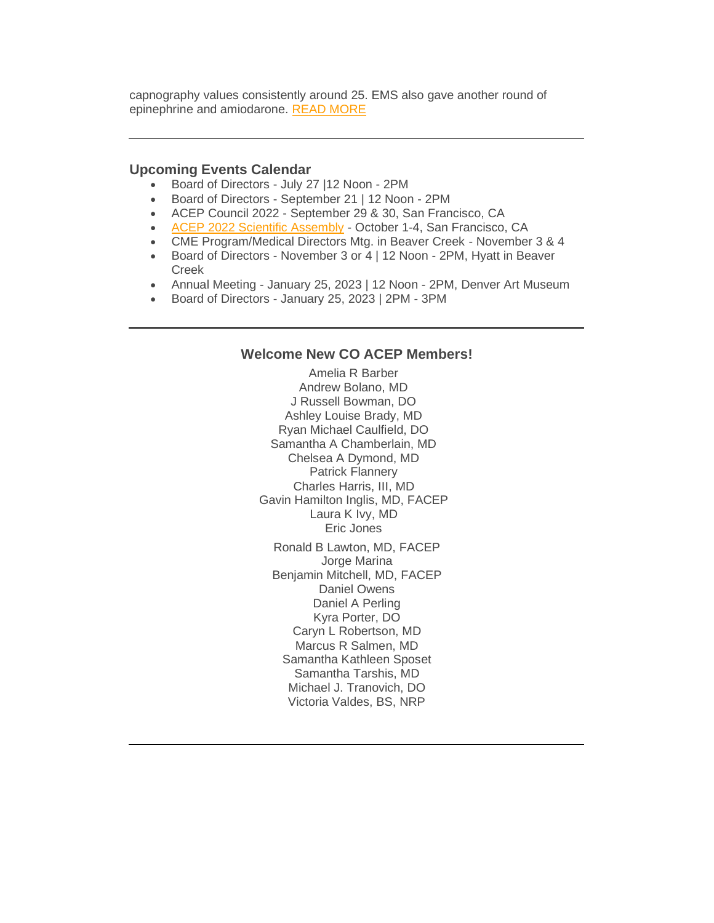capnography values consistently around 25. EMS also gave another round of epinephrine and amiodarone. [READ MORE](https://coacep.org/clinical-corner-how-to-manage-refractory-ventricular-fibrillation-without-ecmo-an-algorithm/)

#### **Upcoming Events Calendar**

- Board of Directors July 27 |12 Noon 2PM
- Board of Directors September 21 | 12 Noon 2PM
- ACEP Council 2022 September 29 & 30, San Francisco, CA
- [ACEP 2022 Scientific Assembly](https://www.acep.org/master-calendar/acep22-scientific-assembly/) October 1-4, San Francisco, CA
- CME Program/Medical Directors Mtg. in Beaver Creek November 3 & 4
- Board of Directors November 3 or 4 | 12 Noon 2PM, Hyatt in Beaver Creek
- Annual Meeting January 25, 2023 | 12 Noon 2PM, Denver Art Museum
- Board of Directors January 25, 2023 | 2PM 3PM

## **Welcome New CO ACEP Members!**

Amelia R Barber Andrew Bolano, MD J Russell Bowman, DO Ashley Louise Brady, MD Ryan Michael Caulfield, DO Samantha A Chamberlain, MD Chelsea A Dymond, MD Patrick Flannery Charles Harris, III, MD Gavin Hamilton Inglis, MD, FACEP Laura K Ivy, MD Eric Jones Ronald B Lawton, MD, FACEP Jorge Marina Benjamin Mitchell, MD, FACEP Daniel Owens Daniel A Perling Kyra Porter, DO Caryn L Robertson, MD Marcus R Salmen, MD Samantha Kathleen Sposet Samantha Tarshis, MD Michael J. Tranovich, DO Victoria Valdes, BS, NRP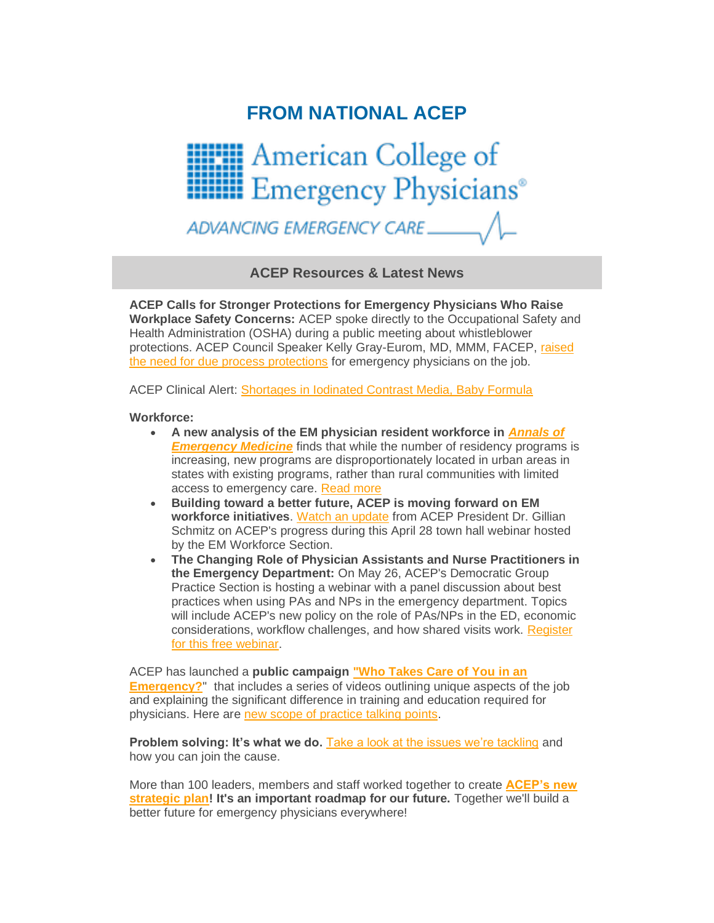# **FROM NATIONAL ACEP**



ADVANCING EMERGENCY CARE

**ACEP Resources & Latest News**

**ACEP Calls for Stronger Protections for Emergency Physicians Who Raise Workplace Safety Concerns:** ACEP spoke directly to the Occupational Safety and Health Administration (OSHA) during a public meeting about whistleblower protections. ACEP Council Speaker Kelly Gray-Eurom, MD, MMM, FACEP, [raised](https://www.acep.org/home-page-redirects/latest-news/acep-calls-for-stronger-protections-for-emergency-physicians-who-raise-workplace-safety-concerns/)  [the need for due process protections](https://www.acep.org/home-page-redirects/latest-news/acep-calls-for-stronger-protections-for-emergency-physicians-who-raise-workplace-safety-concerns/) for emergency physicians on the job.

ACEP Clinical Alert: [Shortages in Iodinated Contrast Media, Baby Formula](https://www.acep.org/home-page-redirects/latest-news/clinical-alert-shortages-in-iodinated-contrast-media-baby-formula/)

#### **Workforce:**

- **A new analysis of the EM physician resident workforce in** *[Annals of](https://www.annemergmed.com/article/S0196-0644(22)00186-X/fulltext)  [Emergency Medicine](https://www.annemergmed.com/article/S0196-0644(22)00186-X/fulltext)* finds that while the number of residency programs is increasing, new programs are disproportionately located in urban areas in states with existing programs, rather than rural communities with limited access to emergency care. [Read more](https://www.emergencyphysicians.org/press-releases/2022/5-12-22-uneven-distribution-of-emergency-physician-residency-programs-can-impact-workforce-challenges-new-analysis-finds)
- **Building toward a better future, ACEP is moving forward on EM workforce initiatives**. [Watch an update](https://www.acep.org/life-as-a-physician/workforce/workforce-videos/workforce-minute-videos/em-workforce-section-town-hall---april-30-2022/) from ACEP President Dr. Gillian Schmitz on ACEP's progress during this April 28 town hall webinar hosted by the EM Workforce Section.
- **The Changing Role of Physician Assistants and Nurse Practitioners in the Emergency Department:** On May 26, ACEP's Democratic Group Practice Section is hosting a webinar with a panel discussion about best practices when using PAs and NPs in the emergency department. Topics will include ACEP's new policy on the role of PAs/NPs in the ED, economic considerations, workflow challenges, and how shared visits work. [Register](https://www.acep.org/master-calendar/the-changing-role-of-physician-assistants-and-nurse-practitioners-in-the-emergency-department/)  [for this free webinar.](https://www.acep.org/master-calendar/the-changing-role-of-physician-assistants-and-nurse-practitioners-in-the-emergency-department/)

ACEP has launched a **public campaign ["Who Takes Care of You in an](https://www.emergencyphysicians.org/article/er101/who-takes-care-of-you-in-an-emergency)  [Emergency?](https://www.emergencyphysicians.org/article/er101/who-takes-care-of-you-in-an-emergency)**" that includes a series of videos outlining unique aspects of the job and explaining the significant difference in training and education required for physicians. Here are [new scope of practice talking points.](https://www.acep.org/acep-media-hub/media-hub-articles/march-2022/scope-of-practice-talking-points/)

**Problem solving: It's what we do.** [Take a look at the issues we're tackling](https://www.acep.org/who-we-are/pulling-together-2021-annual-report/) and how you can join the cause.

More than 100 leaders, members and staff worked together to create **[ACEP's new](https://www.acep.org/strategicplan/)  [strategic plan!](https://www.acep.org/strategicplan/) It's an important roadmap for our future.** Together we'll build a better future for emergency physicians everywhere!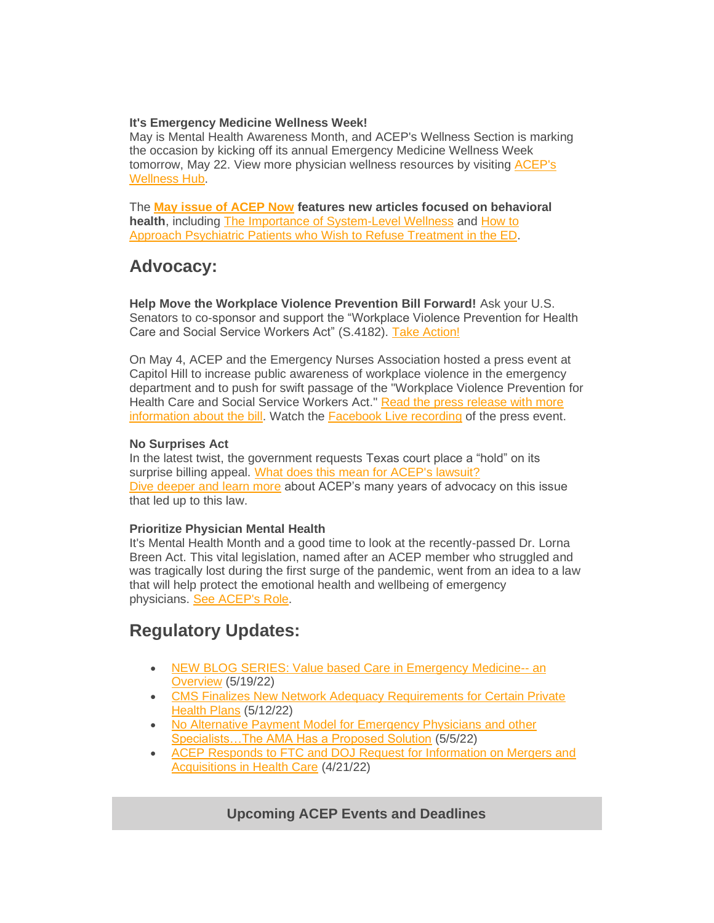## **It's Emergency Medicine Wellness Week!**

May is Mental Health Awareness Month, and ACEP's Wellness Section is marking the occasion by kicking off its annual Emergency Medicine Wellness Week tomorrow, May 22. View more physician wellness resources by visiting [ACEP's](https://www.acep.org/wellness/)  [Wellness Hub.](https://www.acep.org/wellness/)

The **[May issue of](https://www.acepnow.com/issues/?issue=acep-now-vol-41-no-05-may-2022) ACEP Now features new articles focused on behavioral health**, including [The Importance of System-Level Wellness](https://www.acepnow.com/article/importance-of-system-level-wellness/) and [How to](https://www.acepnow.com/article/how-can-they-refuse/)  Approach [Psychiatric Patients who Wish to](https://www.acepnow.com/article/how-can-they-refuse/) Refuse Treatment in the ED.

## **Advocacy:**

**Help Move the Workplace Violence Prevention Bill Forward!** Ask your U.S. Senators to co-sponsor and support the "Workplace Violence Prevention for Health Care and Social Service Workers Act" (S.4182). [Take Action!](https://www.acep.org/federal-advocacy/federal-advocacy-overview/advocacy-action-center/)

On May 4, ACEP and the Emergency Nurses Association hosted a press event at Capitol Hill to increase public awareness of workplace violence in the emergency department and to push for swift passage of the "Workplace Violence Prevention for Health Care and Social Service Workers Act." [Read the press release with more](http://sm1.multiview.com/t/gcH1AAkbaBPWNYQdQMBOmC0ZyEYsaY47UPZ2caaaaY47BRH4C4oaa?j=wXkdmema~25EqkSof.yhq~amp;T=wXkdmema~25EqkSof.yhq~amp;b=Ne~amp;7=)  [information about the bill.](http://sm1.multiview.com/t/gcH1AAkbaBPWNYQdQMBOmC0ZyEYsaY47UPZ2caaaaY47BRH4C4oaa?j=wXkdmema~25EqkSof.yhq~amp;T=wXkdmema~25EqkSof.yhq~amp;b=Ne~amp;7=) Watch the [Facebook Live recording](https://www.facebook.com/watch/live/?extid=NS-UNK-UNK-UNK-IOS_GK0T-GK1C&ref=watch_permalink&v=354834690042755) of the press event.

## **No Surprises Act**

In the latest twist, the government requests Texas court place a "hold" on its surprise billing appeal. [What does this mean for ACEP's lawsuit?](https://www.emergencyphysicians.org/press-releases/2022/in-latest-twist-government-requests-texas-court-place-hold-on-its-surprise-billing-appeal) [Dive deeper and learn more](https://www.acep.org/federal-advocacy/federal-advocacy-overview/acep4u/acep4u-out-of-network/) about ACEP's many years of advocacy on this issue that led up to this law.

## **Prioritize Physician Mental Health**

It's Mental Health Month and a good time to look at the recently-passed Dr. Lorna Breen Act. This vital legislation, named after an ACEP member who struggled and was tragically lost during the first surge of the pandemic, went from an idea to a law that will help protect the emotional health and wellbeing of emergency physicians. [See ACEP's Role.](https://www.acep.org/federal-advocacy/mental-health/dr.-lorna-breen-health-care-provider-protection-act/)

# **Regulatory Updates:**

- [NEW BLOG SERIES: Value based Care in Emergency Medicine--](https://www.acep.org/federal-advocacy/federal-advocacy-overview/regs--eggs/regs--eggs-articles/regs--eggs---may-19-2022/) an [Overview](https://www.acep.org/federal-advocacy/federal-advocacy-overview/regs--eggs/regs--eggs-articles/regs--eggs---may-19-2022/) (5/19/22)
- CMS Finalizes New Network Adequacy Requirements for Certain Private [Health Plans](https://www.acep.org/federal-advocacy/federal-advocacy-overview/regs--eggs/regs--eggs-articles/regs--eggs---may-12-2022/) (5/12/22)
- No Alternative Payment Model for Emergency Physicians and other [Specialists…The AMA Has a Proposed Solution](https://www.acep.org/federal-advocacy/federal-advocacy-overview/regs--eggs/regs--eggs-articles/regs--eggs---may-5-2022/) (5/5/22)
- [ACEP Responds to FTC and DOJ Request for Information on Mergers and](https://www.acep.org/federal-advocacy/federal-advocacy-overview/regs--eggs/regs--eggs-articles/regs--eggs---april-21-2022/)  [Acquisitions in Health Care](https://www.acep.org/federal-advocacy/federal-advocacy-overview/regs--eggs/regs--eggs-articles/regs--eggs---april-21-2022/) (4/21/22)

## **Upcoming ACEP Events and Deadlines**